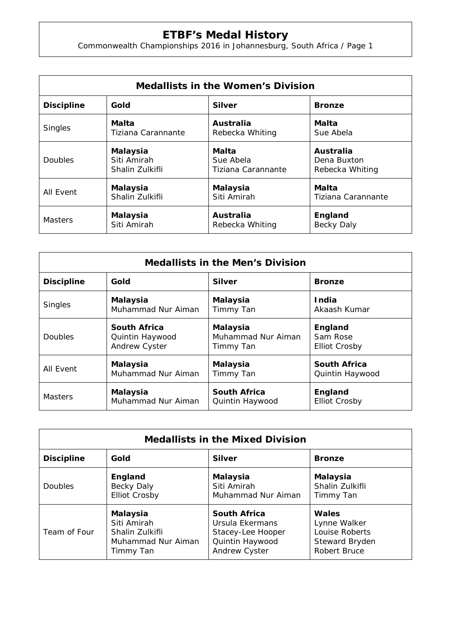## **ETBF's Medal History**

Commonwealth Championships 2016 in Johannesburg, South Africa / Page 1

| <b>Medallists in the Women's Division</b> |                    |                    |                    |  |  |
|-------------------------------------------|--------------------|--------------------|--------------------|--|--|
| <b>Discipline</b>                         | Gold               | <b>Silver</b>      | <b>Bronze</b>      |  |  |
| <b>Singles</b>                            | Malta              | Australia          | Malta              |  |  |
|                                           | Tiziana Carannante | Rebecka Whiting    | Sue Abela          |  |  |
| <b>Doubles</b>                            | <b>Malaysia</b>    | Malta              | Australia          |  |  |
|                                           | Siti Amirah        | Sue Abela          | Dena Buxton        |  |  |
|                                           | Shalin Zulkifli    | Tiziana Carannante | Rebecka Whiting    |  |  |
| All Event                                 | Malaysia           | <b>Malaysia</b>    | Malta              |  |  |
|                                           | Shalin Zulkifli    | Siti Amirah        | Tiziana Carannante |  |  |
| <b>Masters</b>                            | Malaysia           | Australia          | England            |  |  |
|                                           | Siti Amirah        | Rebecka Whiting    | <b>Becky Daly</b>  |  |  |

| <b>Medallists in the Men's Division</b> |                      |                     |                      |  |  |
|-----------------------------------------|----------------------|---------------------|----------------------|--|--|
| <b>Discipline</b>                       | Gold                 | <b>Silver</b>       | <b>Bronze</b>        |  |  |
| <b>Singles</b>                          | <b>Malaysia</b>      | <b>Malaysia</b>     | <b>India</b>         |  |  |
|                                         | Muhammad Nur Aiman   | Timmy Tan           | Akaash Kumar         |  |  |
| Doubles                                 | <b>South Africa</b>  | <b>Malaysia</b>     | England              |  |  |
|                                         | Quintin Haywood      | Muhammad Nur Aiman  | Sam Rose             |  |  |
|                                         | <b>Andrew Cyster</b> | Timmy Tan           | <b>Elliot Crosby</b> |  |  |
| All Event                               | <b>Malaysia</b>      | <b>Malaysia</b>     | <b>South Africa</b>  |  |  |
|                                         | Muhammad Nur Aiman   | Timmy Tan           | Quintin Haywood      |  |  |
| <b>Masters</b>                          | Malaysia             | <b>South Africa</b> | England              |  |  |
|                                         | Muhammad Nur Aiman   | Quintin Haywood     | <b>Elliot Crosby</b> |  |  |

| <b>Medallists in the Mixed Division</b> |                      |                     |                     |  |  |  |
|-----------------------------------------|----------------------|---------------------|---------------------|--|--|--|
| <b>Discipline</b>                       | Gold                 | <b>Silver</b>       | <b>Bronze</b>       |  |  |  |
| <b>Doubles</b>                          | England              | Malaysia            | <b>Malaysia</b>     |  |  |  |
|                                         | Becky Daly           | Siti Amirah         | Shalin Zulkifli     |  |  |  |
|                                         | <b>Elliot Crosby</b> | Muhammad Nur Aiman  | Timmy Tan           |  |  |  |
| Team of Four                            | <b>Malaysia</b>      | <b>South Africa</b> | Wales               |  |  |  |
|                                         | Siti Amirah          | Ursula Ekermans     | Lynne Walker        |  |  |  |
|                                         | Shalin Zulkifli      | Stacey-Lee Hooper   | Louise Roberts      |  |  |  |
|                                         | Muhammad Nur Aiman   | Quintin Haywood     | Steward Bryden      |  |  |  |
|                                         | Timmy Tan            | Andrew Cyster       | <b>Robert Bruce</b> |  |  |  |